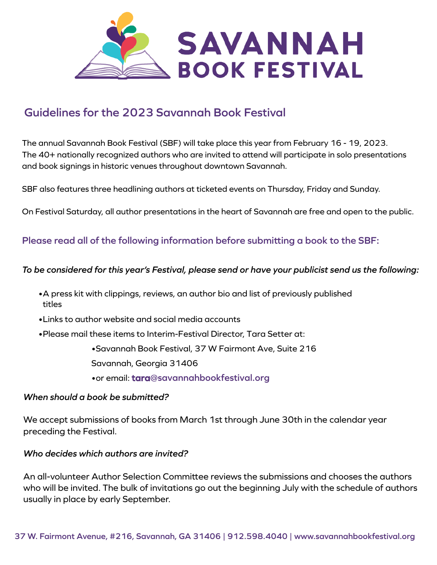

# **Guidelines for the 2023 Savannah Book Festival**

The annual Savannah Book Festival (SBF) will take place this year from February 16 - 19, 2023. The 40+ nationally recognized authors who are invited to attend will participate in solo presentations and book signings in historic venues throughout downtown Savannah.

SBF also features three headlining authors at ticketed events on Thursday, Friday and Sunday.

On Festival Saturday, all author presentations in the heart of Savannah are free and open to the public.

# **Please read all of the following information before submitting a book to the SBF:**

#### *To be considered for this year's Festival, please send or have your publicist send us the following:*

- •A press kit with clippings, reviews, an author bio and list of previously published titles
- •Links to author website and social media accounts
- •Please mail these items to Interim-Festival Director, Tara Setter at:

•Savannah Book Festival, 37 W Fairmont Ave, Suite 216

Savannah, Georgia 31406

•or email: **tara@savannahbookfestival.org**

### *When should a book be submitted?*

preceding the Festival. We accept submissions of books from March 1st through June 30th in the calendar year

#### *Who decides which authors are invited?*

An all-volunteer Author Selection Committee reviews the submissions and chooses the authors who will be invited. The bulk of invitations go out the beginning July with the schedule of authors usually in place by early September.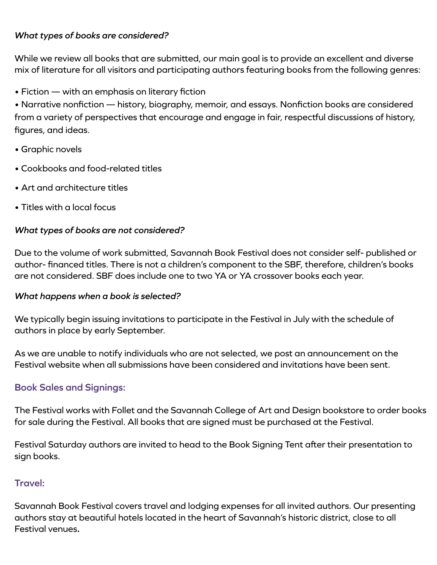# *What types of books are considered?*

While we review all books that are submitted, our main goal is to provide an excellent and diverse mix of literature for all visitors and participating authors featuring books from the following genres:

• Fiction — with an emphasis on literary fiction

• Narrative nonfiction — history, biography, memoir, and essays. Nonfiction books are considered from a variety of perspectives that encourage and engage in fair, respectful discussions of history, figures, and ideas.

- Graphic novels
- Cookbooks and food-related titles
- Art and architecture titles
- Titles with a local focus

## *What types of books are not considered?*

Due to the volume of work submitted, Savannah Book Festival does not consider self- published or author- financed titles. There is not a children's component to the SBF, therefore, children's books are not considered. SBF does include one to two YA or YA crossover books each year.

## *What happens when a book is selected?*

We typically begin issuing invitations to participate in the Festival in July with the schedule of authors in place by early September.

As we are unable to notify individuals who are not selected, we post an announcement on the Festival website when all submissions have been considered and invitations have been sent.

# **Book Sales and Signings:**

The Festival works with Follet and the Savannah College of Art and Design bookstore to order books for sale during the Festival. All books that are signed must be purchased at the Festival.

Festival Saturday authors are invited to head to the Book Signing Tent after their presentation to sign books.

# **Travel:**

Savannah Book Festival covers travel and lodging expenses for all invited authors. Our presenting authors stay at beautiful hotels located in the heart of Savannah's historic district, close to all Festival venues**.**